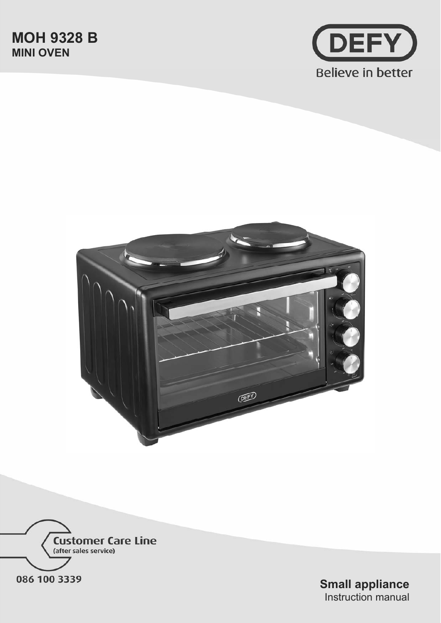





**Small appliance**  Instruction manual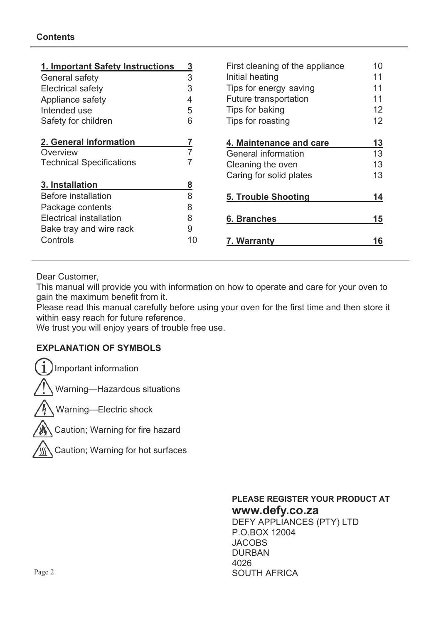| 1. Important Safety Instructions | <u>3</u> | First cleaning of the appliance | 10 |
|----------------------------------|----------|---------------------------------|----|
| General safety                   | 3        | Initial heating                 | 11 |
| <b>Electrical safety</b>         | 3        | Tips for energy saving          | 11 |
| Appliance safety                 | 4        | Future transportation           | 11 |
| Intended use                     | 5        | Tips for baking                 | 12 |
| Safety for children              | 6        | Tips for roasting               | 12 |
| 2. General information           |          | 4. Maintenance and care         | 13 |
| Overview                         |          | General information             | 13 |
| <b>Technical Specifications</b>  |          | Cleaning the oven               | 13 |
|                                  |          | Caring for solid plates         | 13 |
| 3. Installation                  | 8        |                                 |    |
| <b>Before installation</b>       | 8        | <b>5. Trouble Shooting</b>      | 14 |
| Package contents                 | 8        |                                 |    |
| <b>Electrical installation</b>   | 8        | 6. Branches                     | 15 |
| Bake tray and wire rack          | 9        |                                 |    |
| Controls                         | 10       | 7. Warranty                     | 16 |

Dear Customer,

This manual will provide you with information on how to operate and care for your oven to gain the maximum benefit from it.

Please read this manual carefully before using your oven for the first time and then store it within easy reach for future reference.

We trust you will enjoy years of trouble free use.

## **EXPLANATION OF SYMBOLS**

Important information

Warning—Hazardous situations

Warning—Electric shock

Caution; Warning for fire hazard

Caution; Warning for hot surfaces

### **PLEASE REGISTER YOUR PRODUCT AT www.defy.co.za**  DEFY APPLIANCES (PTY) LTD P.O.BOX 12004 **JACOBS** DURBAN 4026 SOUTH AFRICA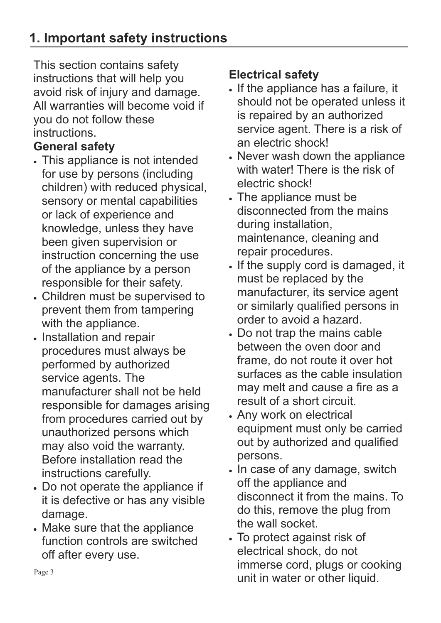# **1. Important safety instructions**

This section contains safety instructions that will help you avoid risk of injury and damage. All warranties will become void if you do not follow these instructions.

# **General safety**

- This appliance is not intended for use by persons (including children) with reduced physical, sensory or mental capabilities or lack of experience and knowledge, unless they have been given supervision or instruction concerning the use of the appliance by a person responsible for their safety.
- x Children must be supervised to prevent them from tampering with the appliance.
- Installation and repair procedures must always be performed by authorized service agents. The manufacturer shall not be held responsible for damages arising from procedures carried out by unauthorized persons which may also void the warranty. Before installation read the instructions carefully.
- Do not operate the appliance if it is defective or has any visible damage.
- Make sure that the appliance function controls are switched off after every use.

# **Electrical safety**

- x If the appliance has a failure, it should not be operated unless it is repaired by an authorized service agent. There is a risk of an electric shock!
- Never wash down the appliance with water! There is the risk of electric shock!
- The appliance must be disconnected from the mains during installation, maintenance, cleaning and repair procedures.
- If the supply cord is damaged, it must be replaced by the manufacturer, its service agent or similarly qualified persons in order to avoid a hazard.
- x Do not trap the mains cable between the oven door and frame, do not route it over hot surfaces as the cable insulation may melt and cause a fire as a result of a short circuit.
- Any work on electrical equipment must only be carried out by authorized and qualified persons.
- In case of any damage, switch off the appliance and disconnect it from the mains. To do this, remove the plug from the wall socket.
- To protect against risk of electrical shock, do not immerse cord, plugs or cooking unit in water or other liquid.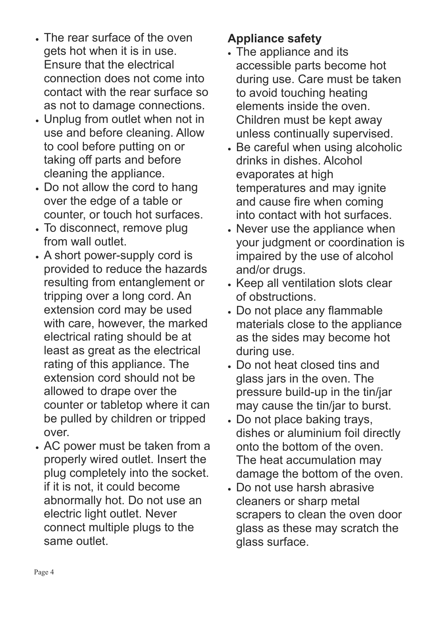- The rear surface of the oven gets hot when it is in use. Ensure that the electrical connection does not come into contact with the rear surface so as not to damage connections.
- x Unplug from outlet when not in use and before cleaning. Allow to cool before putting on or taking off parts and before cleaning the appliance.
- Do not allow the cord to hang over the edge of a table or counter, or touch hot surfaces.
- To disconnect, remove plug from wall outlet.
- A short power-supply cord is provided to reduce the hazards resulting from entanglement or tripping over a long cord. An extension cord may be used with care, however, the marked electrical rating should be at least as great as the electrical rating of this appliance. The extension cord should not be allowed to drape over the counter or tabletop where it can be pulled by children or tripped over.
- x AC power must be taken from a properly wired outlet. Insert the plug completely into the socket. if it is not, it could become abnormally hot. Do not use an electric light outlet. Never connect multiple plugs to the same outlet.

# **Appliance safety**

- The appliance and its accessible parts become hot during use. Care must be taken to avoid touching heating elements inside the oven. Children must be kept away unless continually supervised.
- Be careful when using alcoholic drinks in dishes. Alcohol evaporates at high temperatures and may ignite and cause fire when coming into contact with hot surfaces.
- Never use the appliance when your judgment or coordination is impaired by the use of alcohol and/or drugs.
- Keep all ventilation slots clear of obstructions.
- x Do not place any flammable materials close to the appliance as the sides may become hot during use.
- x Do not heat closed tins and glass jars in the oven. The pressure build-up in the tin/jar may cause the tin/jar to burst.
- Do not place baking trays, dishes or aluminium foil directly onto the bottom of the oven. The heat accumulation may damage the bottom of the oven.
- x Do not use harsh abrasive cleaners or sharp metal scrapers to clean the oven door glass as these may scratch the glass surface.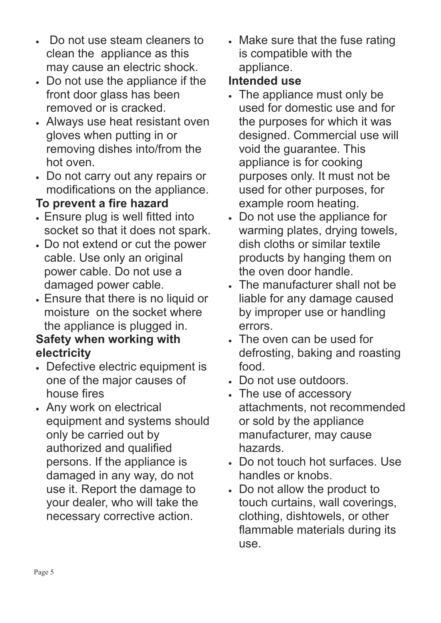- Do not use steam cleaners to clean the appliance as this may cause an electric shock.
- x Do not use the appliance if the front door glass has been removed or is cracked.
- Always use heat resistant oven gloves when putting in or removing dishes into/from the hot oven.
- x Do not carry out any repairs or modifications on the appliance.

# **To prevent a fire hazard**

- x Ensure plug is well fitted into socket so that it does not spark.
- Do not extend or cut the power cable. Use only an original power cable. Do not use a damaged power cable.
- **Ensure that there is no liquid or** moisture on the socket where the appliance is plugged in.

# **Safety when working with electricity**

- Defective electric equipment is one of the major causes of house fires
- Any work on electrical equipment and systems should only be carried out by authorized and qualified persons. If the appliance is damaged in any way, do not use it. Report the damage to your dealer, who will take the necessary corrective action.

• Make sure that the fuse rating is compatible with the appliance.

# **Intended use**

- The appliance must only be used for domestic use and for the purposes for which it was designed. Commercial use will void the guarantee. This appliance is for cooking purposes only. It must not be used for other purposes, for example room heating.
- x Do not use the appliance for warming plates, drying towels, dish cloths or similar textile products by hanging them on the oven door handle.
- The manufacturer shall not be liable for any damage caused by improper use or handling errors.
- The oven can be used for defrosting, baking and roasting food.
- x Do not use outdoors.
- The use of accessory attachments, not recommended or sold by the appliance manufacturer, may cause hazards.
- Do not touch hot surfaces. Use handles or knobs.
- x Do not allow the product to touch curtains, wall coverings, clothing, dishtowels, or other flammable materials during its use.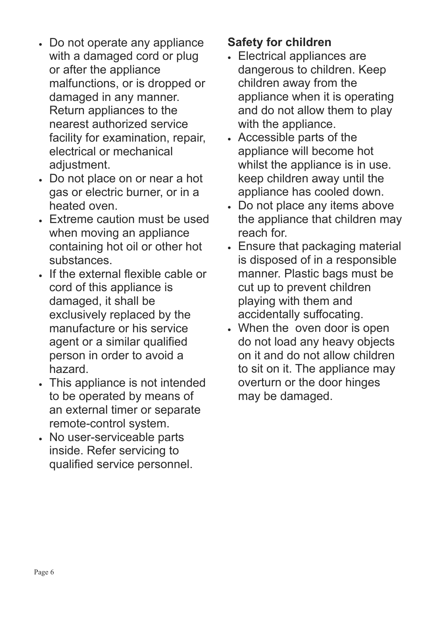- Do not operate any appliance with a damaged cord or plug or after the appliance malfunctions, or is dropped or damaged in any manner. Return appliances to the nearest authorized service facility for examination, repair, electrical or mechanical adjustment.
- x Do not place on or near a hot gas or electric burner, or in a heated oven.
- Extreme caution must be used when moving an appliance containing hot oil or other hot substances.
- x If the external flexible cable or cord of this appliance is damaged, it shall be exclusively replaced by the manufacture or his service agent or a similar qualified person in order to avoid a hazard.
- This appliance is not intended to be operated by means of an external timer or separate remote-control system.
- No user-serviceable parts inside. Refer servicing to qualified service personnel.

# **Safety for children**

- x Electrical appliances are dangerous to children. Keep children away from the appliance when it is operating and do not allow them to play with the appliance.
- Accessible parts of the appliance will become hot whilst the appliance is in use. keep children away until the appliance has cooled down.
- x Do not place any items above the appliance that children may reach for.
- Ensure that packaging material is disposed of in a responsible manner. Plastic bags must be cut up to prevent children playing with them and accidentally suffocating.
- When the oven door is open do not load any heavy objects on it and do not allow children to sit on it. The appliance may overturn or the door hinges may be damaged.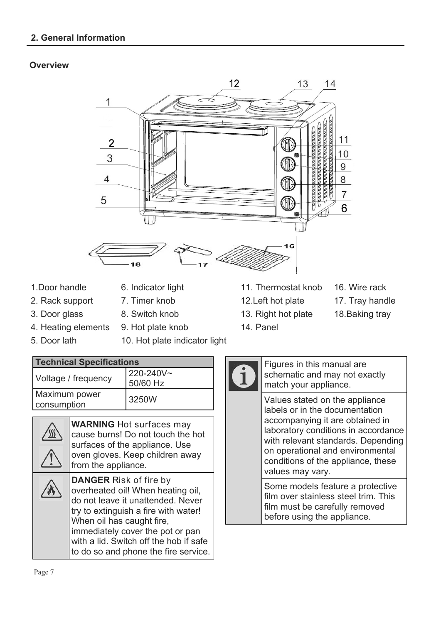### **Overview**



- 
- 
- 2. Rack support 7. Timer knob 12. Left hot plate 17. Tray handle
	-
- 4. Heating elements 9. Hot plate knob 14. Panel
- 
- 5. Door lath 10. Hot plate indicator light

| 1. Door handle | 6. Indicator light | 11. Thermostat knob 16. Wire rack |  |
|----------------|--------------------|-----------------------------------|--|
|----------------|--------------------|-----------------------------------|--|

- 
- 
- 3. Door glass 8. Switch knob 13. Right hot plate 18. Baking tray
- -
	-

| <b>Technical Specifications</b> |                       |
|---------------------------------|-----------------------|
| Voltage / frequency             | 220-240V~<br>50/60 Hz |
| Maximum power<br>consumption    | 3250W                 |

| <b>WARNING</b> Hot surfaces may<br>cause burns! Do not touch the hot<br>surfaces of the appliance. Use<br>oven gloves. Keep children away<br>from the appliance.                                                                                                                                   |
|----------------------------------------------------------------------------------------------------------------------------------------------------------------------------------------------------------------------------------------------------------------------------------------------------|
| <b>DANGER Risk of fire by</b><br>overheated oil! When heating oil,<br>do not leave it unattended. Never<br>try to extinguish a fire with water!<br>When oil has caught fire,<br>immediately cover the pot or pan<br>with a lid. Switch off the hob if safe<br>to do so and phone the fire service. |

Figures in this manual are schematic and may not exactly match your appliance.

Values stated on the appliance labels or in the documentation accompanying it are obtained in laboratory conditions in accordance with relevant standards. Depending on operational and environmental conditions of the appliance, these values may vary.

Some models feature a protective film over stainless steel trim. This film must be carefully removed before using the appliance.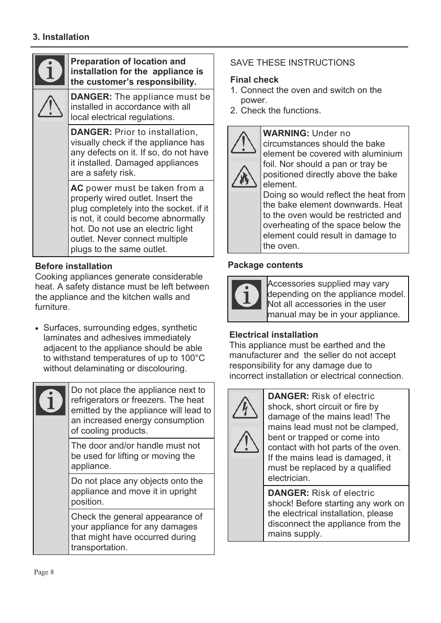## **Preparation of location and installation for the appliance is the customer's responsibility. DANGER:** The appliance must be installed in accordance with all local electrical regulations. **DANGER:** Prior to installation, visually check if the appliance has any defects on it. If so, do not have it installed. Damaged appliances are a safety risk. **AC** power must be taken from a properly wired outlet. Insert the plug completely into the socket. if it is not, it could become abnormally hot. Do not use an electric light outlet. Never connect multiple plugs to the same outlet.

## **Before installation**

Cooking appliances generate considerable heat. A safety distance must be left between the appliance and the kitchen walls and furniture.

• Surfaces, surrounding edges, synthetic laminates and adhesives immediately adjacent to the appliance should be able to withstand temperatures of up to 100°C without delaminating or discolouring.

Do not place the appliance next to refrigerators or freezers. The heat emitted by the appliance will lead to an increased energy consumption of cooling products.

The door and/or handle must not be used for lifting or moving the appliance.

Do not place any objects onto the appliance and move it in upright position.

Check the general appearance of your appliance for any damages that might have occurred during transportation.

# SAVE THESE INSTRUCTIONS

# **Final check**

- 1. Connect the oven and switch on the power.
- 2. Check the functions.



**WARNING:** Under no circumstances should the bake element be covered with aluminium foil. Nor should a pan or tray be positioned directly above the bake element.

Doing so would reflect the heat from the bake element downwards. Heat to the oven would be restricted and overheating of the space below the element could result in damage to the oven.

## **Package contents**



Accessories supplied may vary depending on the appliance model. Not all accessories in the user manual may be in your appliance.

# **Electrical installation**

This appliance must be earthed and the manufacturer and the seller do not accept responsibility for any damage due to incorrect installation or electrical connection.



**DANGER:** Risk of electric shock, short circuit or fire by damage of the mains lead! The mains lead must not be clamped, bent or trapped or come into contact with hot parts of the oven. If the mains lead is damaged, it must be replaced by a qualified electrician.

**DANGER:** Risk of electric shock! Before starting any work on the electrical installation, please disconnect the appliance from the mains supply.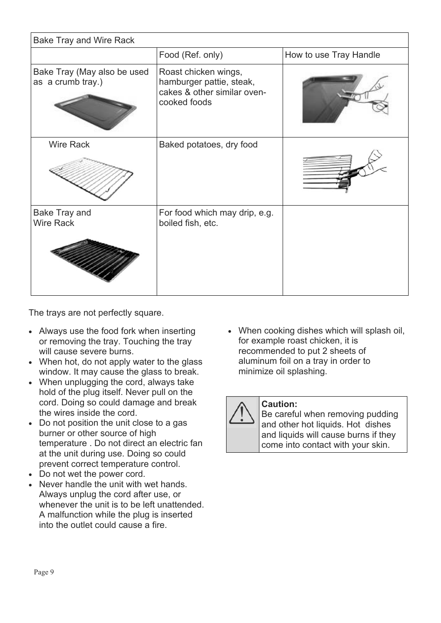| <b>Bake Tray and Wire Rack</b>                   |                                                                                                 |                        |
|--------------------------------------------------|-------------------------------------------------------------------------------------------------|------------------------|
|                                                  | Food (Ref. only)                                                                                | How to use Tray Handle |
| Bake Tray (May also be used<br>as a crumb tray.) | Roast chicken wings,<br>hamburger pattie, steak,<br>cakes & other similar oven-<br>cooked foods |                        |
| <b>Wire Rack</b>                                 | Baked potatoes, dry food                                                                        |                        |
| Bake Tray and<br><b>Wire Rack</b>                | For food which may drip, e.g.<br>boiled fish, etc.                                              |                        |

The trays are not perfectly square.

- Always use the food fork when inserting or removing the tray. Touching the tray will cause severe burns.
- When hot, do not apply water to the glass window. It may cause the glass to break.
- When unplugging the cord, always take hold of the plug itself. Never pull on the cord. Doing so could damage and break the wires inside the cord.
- Do not position the unit close to a gas burner or other source of high temperature . Do not direct an electric fan at the unit during use. Doing so could prevent correct temperature control.
- Do not wet the power cord.
- Never handle the unit with wet hands. Always unplug the cord after use, or whenever the unit is to be left unattended. A malfunction while the plug is inserted into the outlet could cause a fire.

• When cooking dishes which will splash oil, for example roast chicken, it is recommended to put 2 sheets of aluminum foil on a tray in order to minimize oil splashing.

## **Caution:**

Be careful when removing pudding and other hot liquids. Hot dishes and liquids will cause burns if they come into contact with your skin.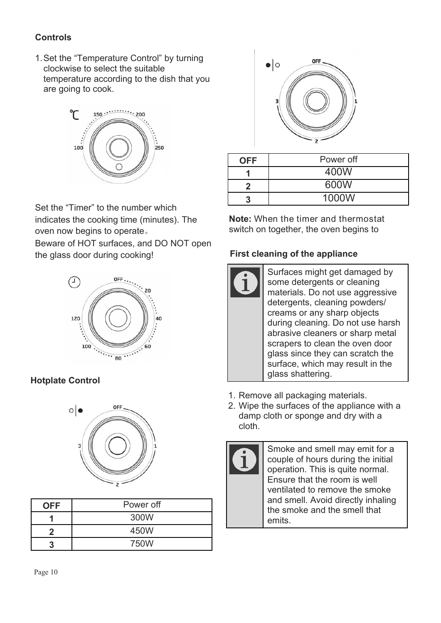# **Controls**

1. Set the "Temperature Control" by turning clockwise to select the suitable temperature according to the dish that you are going to cook.



Set the "Timer" to the number which indicates the cooking time (minutes). The oven now begins to operate. Beware of HOT surfaces, and DO NOT open the glass door during cooking!



# **Hotplate Control**



| <b>OFF</b> | Power off |
|------------|-----------|
|            | 300W      |
|            | 450W      |
|            | 750W      |



| <b>OFF</b> | Power off |
|------------|-----------|
|            | 400W      |
|            | 600W      |
|            | 1000W     |

**Note:** When the timer and thermostat switch on together, the oven begins to

## **First cleaning of the appliance**

- Surfaces might get damaged by some detergents or cleaning materials. Do not use aggressive detergents, cleaning powders/ creams or any sharp objects during cleaning. Do not use harsh abrasive cleaners or sharp metal scrapers to clean the oven door glass since they can scratch the surface, which may result in the glass shattering.
- 1. Remove all packaging materials.
- 2. Wipe the surfaces of the appliance with a damp cloth or sponge and dry with a cloth.



Smoke and smell may emit for a couple of hours during the initial operation. This is quite normal. Ensure that the room is well ventilated to remove the smoke and smell. Avoid directly inhaling the smoke and the smell that emits.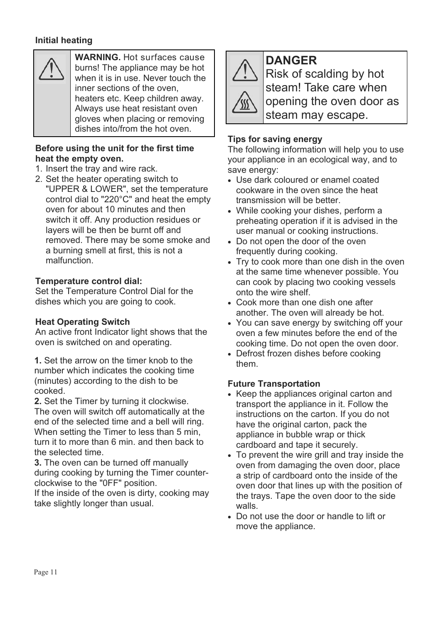## **Initial heating**



**WARNING.** Hot surfaces cause burns! The appliance may be hot when it is in use. Never touch the inner sections of the oven, heaters etc. Keep children away. Always use heat resistant oven gloves when placing or removing dishes into/from the hot oven.

### **Before using the unit for the first time heat the empty oven.**

- 1. Insert the tray and wire rack.
- 2. Set the heater operating switch to "UPPER & LOWER", set the temperature control dial to "220°C" and heat the empty oven for about 10 minutes and then switch it off. Any production residues or layers will be then be burnt off and removed. There may be some smoke and a burning smell at first, this is not a malfunction.

### **Temperature control dial:**

Set the Temperature Control Dial for the dishes which you are going to cook.

### **Heat Operating Switch**

An active front Indicator light shows that the oven is switched on and operating.

**1.** Set the arrow on the timer knob to the them number which indicates the cooking time (minutes) according to the dish to be cooked.

**2.** Set the Timer by turning it clockwise. The oven will switch off automatically at the end of the selected time and a bell will ring. When setting the Timer to less than 5 min, turn it to more than 6 min. and then back to the selected time.

**3.** The oven can be turned off manually during cooking by turning the Timer counterclockwise to the "0FF" position.

If the inside of the oven is dirty, cooking may take slightly longer than usual.



**DANGER**  Risk of scalding by hot steam! Take care when opening the oven door as steam may escape.

## **Tips for saving energy**

The following information will help you to use your appliance in an ecological way, and to save energy:

- Use dark coloured or enamel coated cookware in the oven since the heat transmission will be better.
- While cooking your dishes, perform a preheating operation if it is advised in the user manual or cooking instructions.
- Do not open the door of the oven frequently during cooking.
- Try to cook more than one dish in the oven at the same time whenever possible. You can cook by placing two cooking vessels onto the wire shelf.
- Cook more than one dish one after another. The oven will already be hot.
- You can save energy by switching off your oven a few minutes before the end of the cooking time. Do not open the oven door.
- Defrost frozen dishes before cooking

## **Future Transportation**

- Keep the appliances original carton and transport the appliance in it. Follow the instructions on the carton. If you do not have the original carton, pack the appliance in bubble wrap or thick cardboard and tape it securely.
- To prevent the wire grill and tray inside the oven from damaging the oven door, place a strip of cardboard onto the inside of the oven door that lines up with the position of the trays. Tape the oven door to the side walls.
- Do not use the door or handle to lift or move the appliance.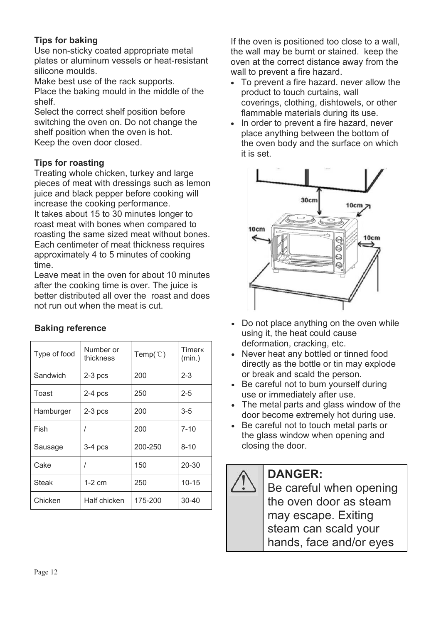## **Tips for baking**

Use non-sticky coated appropriate metal plates or aluminum vessels or heat-resistant silicone moulds.

Make best use of the rack supports. Place the baking mould in the middle of the shelf.

Select the correct shelf position before switching the oven on. Do not change the shelf position when the oven is hot. Keep the oven door closed.

## **Tips for roasting**

Treating whole chicken, turkey and large pieces of meat with dressings such as lemon juice and black pepper before cooking will increase the cooking performance.

It takes about 15 to 30 minutes longer to roast meat with bones when compared to roasting the same sized meat without bones. Each centimeter of meat thickness requires approximately 4 to 5 minutes of cooking time.

Leave meat in the oven for about 10 minutes after the cooking time is over. The juice is better distributed all over the roast and does not run out when the meat is cut.

| Type of food | Number or<br>thickness | Temp( $\mathcal{C}$ ) | Timer«<br>(min.) |
|--------------|------------------------|-----------------------|------------------|
| Sandwich     | $2-3$ pcs              | 200                   | $2 - 3$          |
| Toast        | $2-4$ pcs              | 250                   | $2 - 5$          |
| Hamburger    | $2-3$ pcs              | 200                   | $3 - 5$          |
| Fish         |                        | 200                   | $7 - 10$         |
| Sausage      | $3-4$ pcs              | 200-250               | $8 - 10$         |
| Cake         |                        | 150                   | $20 - 30$        |
| <b>Steak</b> | $1-2$ cm               | 250                   | $10 - 15$        |
| Chicken      | Half chicken           | 175-200               | $30 - 40$        |

## **Baking reference**

If the oven is positioned too close to a wall, the wall may be burnt or stained. keep the oven at the correct distance away from the wall to prevent a fire hazard.

- To prevent a fire hazard. never allow the product to touch curtains, wall coverings, clothing, dishtowels, or other flammable materials during its use.
- In order to prevent a fire hazard, never place anything between the bottom of the oven body and the surface on which it is set.



- Do not place anything on the oven while using it, the heat could cause deformation, cracking, etc.
- Never heat any bottled or tinned food directly as the bottle or tin may explode or break and scald the person.
- Be careful not to bum yourself during use or immediately after use.
- The metal parts and glass window of the door become extremely hot during use.
- Be careful not to touch metal parts or the glass window when opening and closing the door.

# **DANGER:**

Be careful when opening the oven door as steam may escape. Exiting steam can scald your hands, face and/or eyes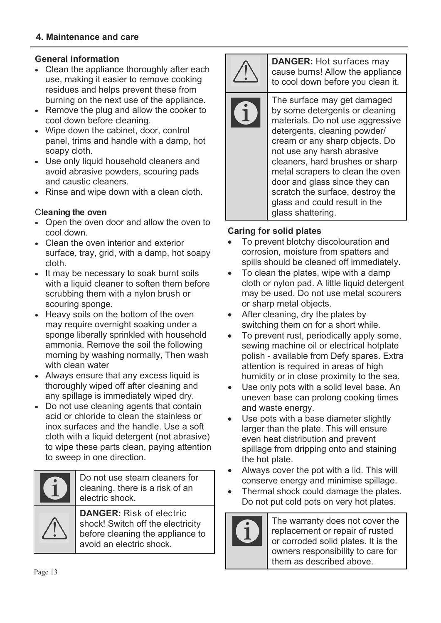## **General information**

- Clean the appliance thoroughly after each use, making it easier to remove cooking residues and helps prevent these from burning on the next use of the appliance.
- Remove the plug and allow the cooker to cool down before cleaning.
- Wipe down the cabinet, door, control panel, trims and handle with a damp, hot soapy cloth.
- Use only liquid household cleaners and avoid abrasive powders, scouring pads and caustic cleaners.
- Rinse and wipe down with a clean cloth.

## C**leaning the oven**

- Open the oven door and allow the oven to cool down.
- Clean the oven interior and exterior surface, tray, grid, with a damp, hot soapy cloth.
- It may be necessary to soak burnt soils with a liquid cleaner to soften them before scrubbing them with a nylon brush or scouring sponge.
- Heavy soils on the bottom of the oven may require overnight soaking under a sponge liberally sprinkled with household ammonia. Remove the soil the following morning by washing normally, Then wash with clean water
- Always ensure that any excess liquid is thoroughly wiped off after cleaning and any spillage is immediately wiped dry.
- Do not use cleaning agents that contain acid or chloride to clean the stainless or inox surfaces and the handle. Use a soft cloth with a liquid detergent (not abrasive) to wipe these parts clean, paying attention to sweep in one direction.

Do not use steam cleaners for cleaning, there is a risk of an electric shock.

**DANGER:** Risk of electric shock! Switch off the electricity before cleaning the appliance to avoid an electric shock.



**DANGER:** Hot surfaces may cause burns! Allow the appliance to cool down before you clean it.

The surface may get damaged by some detergents or cleaning materials. Do not use aggressive detergents, cleaning powder/ cream or any sharp objects. Do not use any harsh abrasive cleaners, hard brushes or sharp metal scrapers to clean the oven door and glass since they can scratch the surface, destroy the glass and could result in the glass shattering.

## **Caring for solid plates**

- To prevent blotchy discolouration and corrosion, moisture from spatters and spills should be cleaned off immediately.
- $\bullet$  To clean the plates, wipe with a damp cloth or nylon pad. A little liquid detergent may be used. Do not use metal scourers or sharp metal objects.
- After cleaning, dry the plates by switching them on for a short while.
- $\bullet$  To prevent rust, periodically apply some, sewing machine oil or electrical hotplate polish - available from Defy spares. Extra attention is required in areas of high humidity or in close proximity to the sea.
- Use only pots with a solid level base. An uneven base can prolong cooking times and waste energy.
- Use pots with a base diameter slightly larger than the plate. This will ensure even heat distribution and prevent spillage from dripping onto and staining the hot plate.
- Always cover the pot with a lid. This will conserve energy and minimise spillage.
- Thermal shock could damage the plates. Do not put cold pots on very hot plates.



The warranty does not cover the replacement or repair of rusted or corroded solid plates. It is the owners responsibility to care for them as described above.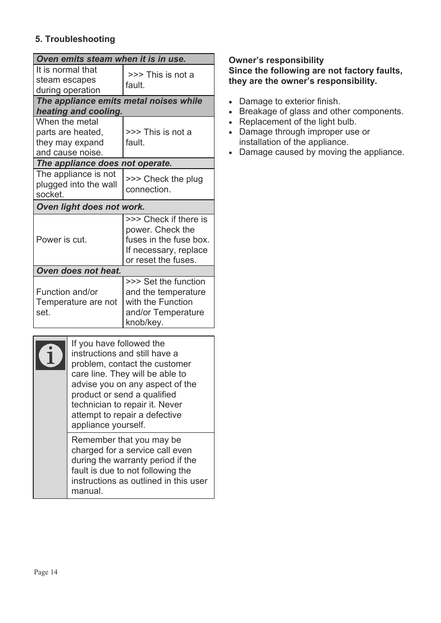## **5. Troubleshooting**

| Oven emits steam when it is in use.                                        |                                                                                                                     |  |
|----------------------------------------------------------------------------|---------------------------------------------------------------------------------------------------------------------|--|
| It is normal that<br>steam escapes<br>during operation                     | >>> This is not a<br>fault.                                                                                         |  |
| The appliance emits metal noises while                                     |                                                                                                                     |  |
| heating and cooling.                                                       |                                                                                                                     |  |
| When the metal<br>parts are heated,<br>they may expand<br>and cause noise. | >>> This is not a<br>fault.                                                                                         |  |
| The appliance does not operate.                                            |                                                                                                                     |  |
| The appliance is not<br>plugged into the wall<br>socket.                   | >>> Check the plug<br>connection.                                                                                   |  |
| Oven light does not work.                                                  |                                                                                                                     |  |
| Power is cut.                                                              | >>> Check if there is<br>power. Check the<br>fuses in the fuse box.<br>If necessary, replace<br>or reset the fuses. |  |
| Oven does not heat.                                                        |                                                                                                                     |  |
| Function and/or<br>Temperature are not<br>set.                             | >>> Set the function<br>and the temperature<br>with the Function<br>and/or Temperature<br>knob/key.                 |  |

| If you have followed the<br>instructions and still have a<br>problem, contact the customer<br>care line. They will be able to<br>advise you on any aspect of the<br>product or send a qualified<br>technician to repair it. Never<br>attempt to repair a defective<br>appliance yourself. |
|-------------------------------------------------------------------------------------------------------------------------------------------------------------------------------------------------------------------------------------------------------------------------------------------|
| Remember that you may be<br>charged for a service call even<br>during the warranty period if the<br>fault is due to not following the<br>instructions as outlined in this user<br>manual                                                                                                  |

## **Owner's responsibility Since the following are not factory faults, they are the owner's responsibility.**

- Damage to exterior finish.
- Breakage of glass and other components.
- Replacement of the light bulb.
- Damage through improper use or installation of the appliance.
- Damage caused by moving the appliance.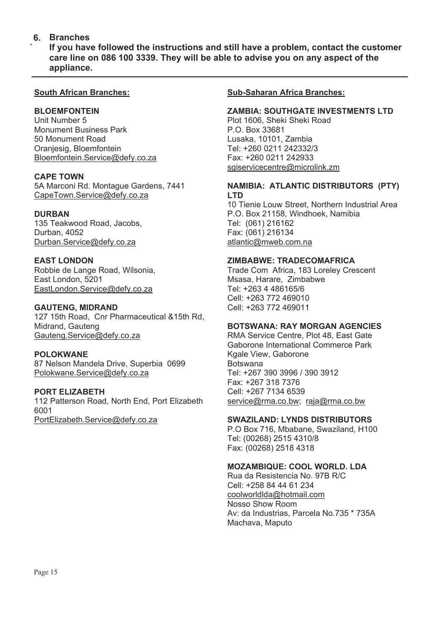### **Branches 6.**

**If you have followed the instructions and still have a problem, contact the customer care line on 086 100 3339. They will be able to advise you on any aspect of the appliance.**

#### **South African Branches:**

#### **BLOEMFONTEIN**

Unit Number 5 Monument Business Park 50 Monument Road Oranjesig, Bloemfontein Bloemfontein.Service@defy.co.za

#### **CAPE TOWN**

5A Marconi Rd. Montague Gardens, 7441 CapeTown.Service@defy.co.za

#### **DURBAN**

135 Teakwood Road, Jacobs, Durban, 4052 Durban.Service@defy.co.za

#### **EAST LONDON**

Robbie de Lange Road, Wilsonia, East London, 5201 EastLondon.Service@defy.co.za

#### **GAUTENG, MIDRAND**

127 15th Road, Cnr Pharmaceutical &15th Rd, Midrand, Gauteng Gauteng.Service@defy.co.za

#### **POLOKWANE**

87 Nelson Mandela Drive, Superbia 0699 Polokwane.Service@defy.co.za

### **PORT ELIZABETH**

112 Patterson Road, North End, Port Elizabeth 6001 PortElizabeth.Service@defy.co.za

#### **Sub-Saharan Africa Branches:**

#### **ZAMBIA: SOUTHGATE INVESTMENTS LTD**

Plot 1606, Sheki Sheki Road P.O. Box 33681 Lusaka, 10101, Zambia Tel: +260 0211 242332/3 Fax: +260 0211 242933 sgiservicecentre@microlink.zm

#### **NAMIBIA: ATLANTIC DISTRIBUTORS (PTY) LTD**

10 Tienie Louw Street, Northern Industrial Area P.O. Box 21158, Windhoek, Namibia Tel: (061) 216162 Fax: (061) 216134 atlantic@mweb.com.na

#### **ZIMBABWE: TRADECOMAFRICA**

Trade Com Africa, 183 Loreley Crescent Msasa, Harare, Zimbabwe Tel: +263 4 486165/6 Cell: +263 772 469010 Cell: +263 772 469011

#### **BOTSWANA: RAY MORGAN AGENCIES**

RMA Service Centre, Plot 48, East Gate Gaborone International Commerce Park Kgale View, Gaborone Botswana Tel: +267 390 3996 / 390 3912 Fax: +267 318 7376 Cell: +267 7134 6539 service@rma.co.bw; raja@rma.co.bw

#### **SWAZILAND: LYNDS DISTRIBUTORS**

P.O Box 716, Mbabane, Swaziland, H100 Tel: (00268) 2515 4310/8 Fax: (00268) 2518 4318

#### **MOZAMBIQUE: COOL WORLD. LDA**

Rua da Resistencia No. 97B R/C Cell: +258 84 44 61 234 coolworldlda@hotmail.com Nosso Show Room Av: da Industrias, Parcela No.735 \* 735A Machava, Maputo